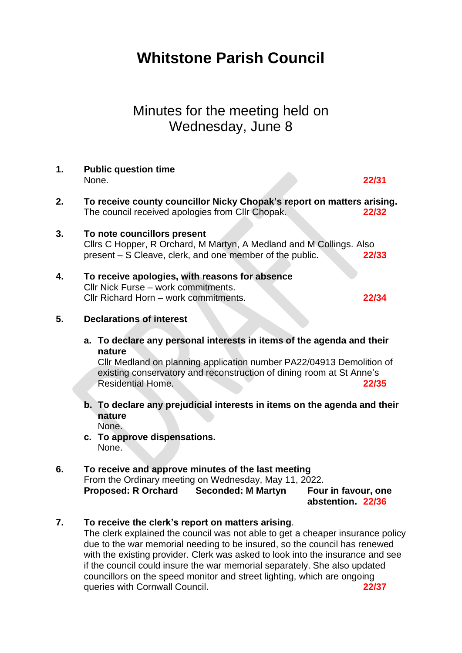# **Whitstone Parish Council**

# Minutes for the meeting held on Wednesday, June 8

#### **1. Public question time**  None. **22/31**

- **2. To receive county councillor Nicky Chopak's report on matters arising.** The council received apologies from Cllr Chopak. **22/32**
- **3. To note councillors present** Cllrs C Hopper, R Orchard, M Martyn, A Medland and M Collings. Also present – S Cleave, clerk, and one member of the public. **22/33**
- **4. To receive apologies, with reasons for absence** Cllr Nick Furse – work commitments. Cllr Richard Horn – work commitments. **22/34**

#### **5. Declarations of interest**

**a. To declare any personal interests in items of the agenda and their nature**

Cllr Medland on planning application number PA22/04913 Demolition of existing conservatory and reconstruction of dining room at St Anne's Residential Home. **22/35**

- **b. To declare any prejudicial interests in items on the agenda and their nature** None.
- **c. To approve dispensations.** None.

# **6. To receive and approve minutes of the last meeting**

From the Ordinary meeting on Wednesday, May 11, 2022. **Proposed: R Orchard Seconded: M Martyn Four in favour, one** 

**abstention. 22/36**

#### **7. To receive the clerk's report on matters arising**.

The clerk explained the council was not able to get a cheaper insurance policy due to the war memorial needing to be insured, so the council has renewed with the existing provider. Clerk was asked to look into the insurance and see if the council could insure the war memorial separately. She also updated councillors on the speed monitor and street lighting, which are ongoing queries with Cornwall Council. **22/37**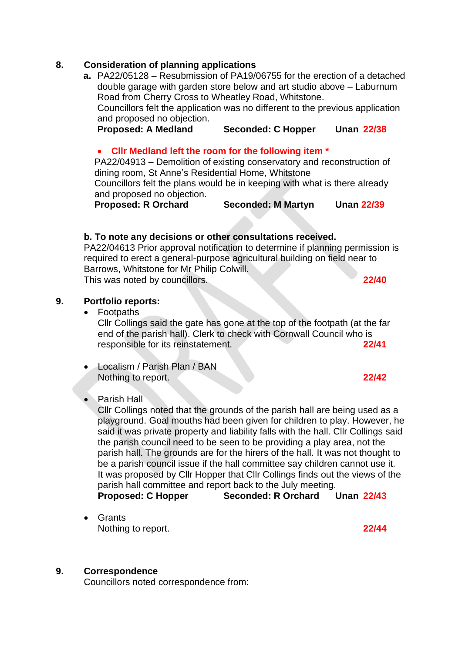#### **8. Consideration of planning applications**

**a.** PA22/05128 – Resubmission of PA19/06755 for the erection of a detached double garage with garden store below and art studio above – Laburnum Road from Cherry Cross to Wheatley Road, Whitstone. Councillors felt the application was no different to the previous application and proposed no objection. **Proposed: A Medland Seconded: C Hopper Unan 22/38**

# • **Cllr Medland left the room for the following item \***

PA22/04913 – Demolition of existing conservatory and reconstruction of dining room, St Anne's Residential Home, Whitstone

Councillors felt the plans would be in keeping with what is there already and proposed no objection.

**Proposed: R Orchard Seconded: M Martyn Unan 22/39**

# **b. To note any decisions or other consultations received.**

PA22/04613 Prior approval notification to determine if planning permission is required to erect a general-purpose agricultural building on field near to Barrows, Whitstone for Mr Philip Colwill. This was noted by councillors. **22/40**

#### **9. Portfolio reports:**

• Footpaths

Cllr Collings said the gate has gone at the top of the footpath (at the far end of the parish hall). Clerk to check with Cornwall Council who is responsible for its reinstatement. **22/41**

• Localism / Parish Plan / BAN Nothing to report. **22/42** 

#### Parish Hall

Cllr Collings noted that the grounds of the parish hall are being used as a playground. Goal mouths had been given for children to play. However, he said it was private property and liability falls with the hall. Cllr Collings said the parish council need to be seen to be providing a play area, not the parish hall. The grounds are for the hirers of the hall. It was not thought to be a parish council issue if the hall committee say children cannot use it. It was proposed by Cllr Hopper that Cllr Collings finds out the views of the parish hall committee and report back to the July meeting. **Proposed: C Hopper Seconded: R Orchard Unan 22/43**

• Grants Nothing to report. **22/44** 

#### **9. Correspondence**

Councillors noted correspondence from: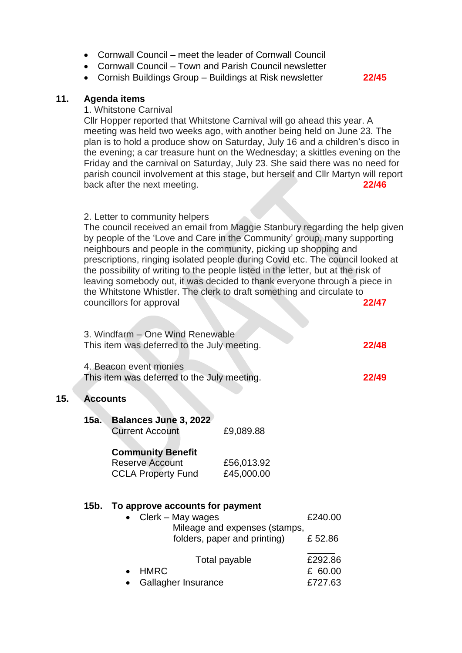- Cornwall Council meet the leader of Cornwall Council
- Cornwall Council Town and Parish Council newsletter
- Cornish Buildings Group Buildings at Risk newsletter **22/45**

#### **11. Agenda items**

**15. Accounts**

#### 1. Whitstone Carnival

Cllr Hopper reported that Whitstone Carnival will go ahead this year. A meeting was held two weeks ago, with another being held on June 23. The plan is to hold a produce show on Saturday, July 16 and a children's disco in the evening; a car treasure hunt on the Wednesday; a skittles evening on the Friday and the carnival on Saturday, July 23. She said there was no need for parish council involvement at this stage, but herself and Cllr Martyn will report back after the next meeting. **22/46**

#### 2. Letter to community helpers

**Contract Contract** 

The council received an email from Maggie Stanbury regarding the help given by people of the 'Love and Care in the Community' group, many supporting neighbours and people in the community, picking up shopping and prescriptions, ringing isolated people during Covid etc. The council looked at the possibility of writing to the people listed in the letter, but at the risk of leaving somebody out, it was decided to thank everyone through a piece in the Whitstone Whistler. The clerk to draft something and circulate to *COUNCILIORS* for approval **22/47** 

|                                                                       | 3. Windfarm - One Wind Renewable<br>This item was deferred to the July meeting.                                                                                                                                                                   |                                      |                   | 22/48 |
|-----------------------------------------------------------------------|---------------------------------------------------------------------------------------------------------------------------------------------------------------------------------------------------------------------------------------------------|--------------------------------------|-------------------|-------|
| 4. Beacon event monies<br>This item was deferred to the July meeting. |                                                                                                                                                                                                                                                   |                                      |                   | 22/49 |
| <b>Accounts</b>                                                       |                                                                                                                                                                                                                                                   |                                      |                   |       |
| 15а.                                                                  | <b>Balances June 3, 2022</b><br><b>Current Account</b>                                                                                                                                                                                            | £9,089.88                            |                   |       |
|                                                                       | <b>Community Benefit</b><br><b>Reserve Account</b><br>£56,013.92<br>£45,000.00<br><b>CCLA Property Fund</b><br>To approve accounts for payment<br>Clerk – May wages<br>$\bullet$<br>Mileage and expenses (stamps,<br>folders, paper and printing) |                                      |                   |       |
| 15b. l                                                                |                                                                                                                                                                                                                                                   |                                      | £240.00<br>£52.86 |       |
|                                                                       | <b>HMRC</b><br>$\bullet$                                                                                                                                                                                                                          | Total payable<br>Gallagher Insurance |                   |       |